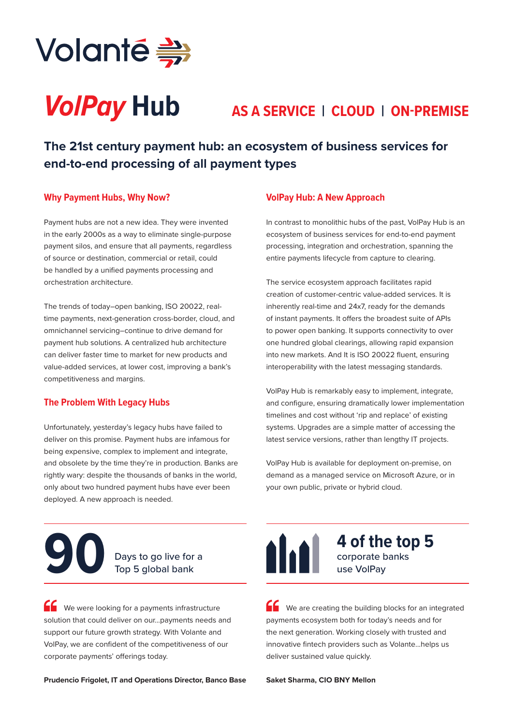

# *VolPay* **Hub AS A SERVICE | CLOUD | ON-PREMISE**

**The 21st century payment hub: an ecosystem of business services for end-to-end processing of all payment types**

## **Why Payment Hubs, Why Now?**

Payment hubs are not a new idea. They were invented in the early 2000s as a way to eliminate single-purpose payment silos, and ensure that all payments, regardless of source or destination, commercial or retail, could be handled by a unified payments processing and orchestration architecture.

The trends of today–open banking, ISO 20022, realtime payments, next-generation cross-border, cloud, and omnichannel servicing–continue to drive demand for payment hub solutions. A centralized hub architecture can deliver faster time to market for new products and value-added services, at lower cost, improving a bank's competitiveness and margins.

# **The Problem With Legacy Hubs**

Unfortunately, yesterday's legacy hubs have failed to deliver on this promise. Payment hubs are infamous for being expensive, complex to implement and integrate, and obsolete by the time they're in production. Banks are rightly wary: despite the thousands of banks in the world, only about two hundred payment hubs have ever been deployed. A new approach is needed.

### **VolPay Hub: A New Approach**

In contrast to monolithic hubs of the past, VolPay Hub is an ecosystem of business services for end-to-end payment processing, integration and orchestration, spanning the entire payments lifecycle from capture to clearing.

The service ecosystem approach facilitates rapid creation of customer-centric value-added services. It is inherently real-time and 24x7, ready for the demands of instant payments. It offers the broadest suite of APIs to power open banking. It supports connectivity to over one hundred global clearings, allowing rapid expansion into new markets. And It is ISO 20022 fluent, ensuring interoperability with the latest messaging standards.

VolPay Hub is remarkably easy to implement, integrate, and configure, ensuring dramatically lower implementation timelines and cost without 'rip and replace' of existing systems. Upgrades are a simple matter of accessing the latest service versions, rather than lengthy IT projects.

VolPay Hub is available for deployment on-premise, on demand as a managed service on Microsoft Azure, or in your own public, private or hybrid cloud.

# Days to go live for a<br>**Top 5 global bank**

We were looking for a payments infrastructure solution that could deliver on our...payments needs and support our future growth strategy. With Volante and VolPay, we are confident of the competitiveness of our corporate payments' offerings today.

**Prudencio Frigolet, IT and Operations Director, Banco Base** 



corporate banks use VolPay **4 of the top 5** 

We are creating the building blocks for an integrated payments ecosystem both for today's needs and for the next generation. Working closely with trusted and innovative fintech providers such as Volante...helps us deliver sustained value quickly.

**Saket Sharma, CIO BNY Mellon**